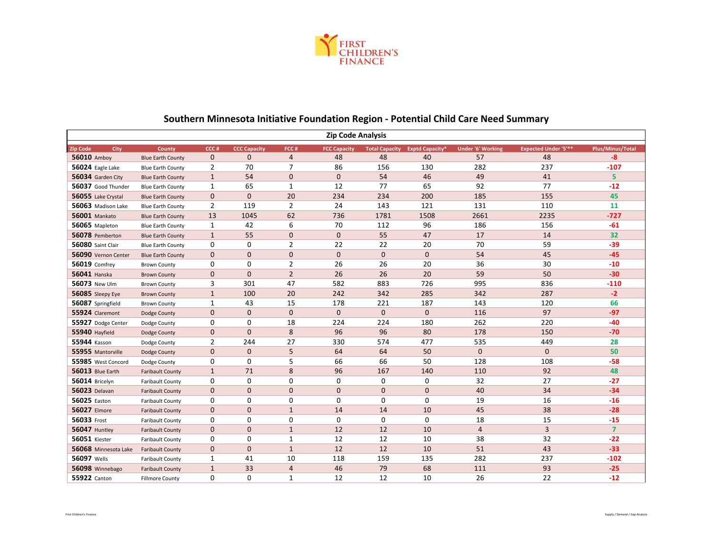

| <b>Zip Code Analysis</b> |                          |                |                     |                |                     |                       |                        |                          |                             |                  |  |
|--------------------------|--------------------------|----------------|---------------------|----------------|---------------------|-----------------------|------------------------|--------------------------|-----------------------------|------------------|--|
| <b>Zip Code</b><br>City  | County                   | CCC#           | <b>CCC Capacity</b> | FCC#           | <b>FCC Capacity</b> | <b>Total Capacity</b> | <b>Exptd Capacity*</b> | <b>Under '6' Working</b> | <b>Expected Under '5'**</b> | Plus/Minus/Total |  |
| 56010 Amboy              | <b>Blue Earth County</b> | $\mathbf 0$    | $\Omega$            | $\overline{4}$ | 48                  | 48                    | 40                     | 57                       | 48                          | $-8$             |  |
| 56024 Eagle Lake         | <b>Blue Earth County</b> | $\overline{2}$ | 70                  | $\overline{7}$ | 86                  | 156                   | 130                    | 282                      | 237                         | $-107$           |  |
| 56034 Garden City        | <b>Blue Earth County</b> | $\mathbf{1}$   | 54                  | 0              | 0                   | 54                    | 46                     | 49                       | 41                          | 5                |  |
| 56037 Good Thunder       | <b>Blue Earth County</b> | $\mathbf{1}$   | 65                  | 1              | 12                  | 77                    | 65                     | 92                       | 77                          | $-12$            |  |
| 56055 Lake Crystal       | <b>Blue Earth County</b> | $\mathbf 0$    | $\mathbf{0}$        | 20             | 234                 | 234                   | 200                    | 185                      | 155                         | 45               |  |
| 56063 Madison Lake       | <b>Blue Earth County</b> | $\overline{2}$ | 119                 | 2              | 24                  | 143                   | 121                    | 131                      | 110                         | 11               |  |
| <b>56001 Mankato</b>     | <b>Blue Earth County</b> | 13             | 1045                | 62             | 736                 | 1781                  | 1508                   | 2661                     | 2235                        | $-727$           |  |
| 56065 Mapleton           | <b>Blue Earth County</b> | 1              | 42                  | 6              | 70                  | 112                   | 96                     | 186                      | 156                         | $-61$            |  |
| 56078 Pemberton          | <b>Blue Earth County</b> | $\mathbf{1}$   | 55                  | 0              | 0                   | 55                    | 47                     | 17                       | 14                          | 32               |  |
| 56080 Saint Clair        | <b>Blue Earth County</b> | 0              | $\mathbf 0$         | 2              | 22                  | 22                    | 20                     | 70                       | 59                          | $-39$            |  |
| 56090 Vernon Center      | <b>Blue Earth County</b> | $\mathbf 0$    | $\mathbf{0}$        | 0              | 0                   | $\mathbf 0$           | $\mathbf 0$            | 54                       | 45                          | $-45$            |  |
| <b>56019 Comfrey</b>     | <b>Brown County</b>      | 0              | 0                   | 2              | 26                  | 26                    | 20                     | 36                       | 30                          | $-10$            |  |
| 56041 Hanska             | <b>Brown County</b>      | $\pmb{0}$      | $\Omega$            | $\overline{2}$ | 26                  | 26                    | 20                     | 59                       | 50                          | $-30$            |  |
| 56073 New Ulm            | <b>Brown County</b>      | 3              | 301                 | 47             | 582                 | 883                   | 726                    | 995                      | 836                         | $-110$           |  |
| 56085 Sleepy Eye         | <b>Brown County</b>      | $\mathbf{1}$   | 100                 | 20             | 242                 | 342                   | 285                    | 342                      | 287                         | $-2$             |  |
| 56087 Springfield        | <b>Brown County</b>      | $\mathbf{1}$   | 43                  | 15             | 178                 | 221                   | 187                    | 143                      | 120                         | 66               |  |
| 55924 Claremont          | Dodge County             | $\mathbf 0$    | $\mathbf{0}$        | $\mathbf{0}$   | $\overline{0}$      | $\mathbf{0}$          | $\overline{0}$         | 116                      | 97                          | $-97$            |  |
| 55927 Dodge Center       | Dodge County             | 0              | 0                   | 18             | 224                 | 224                   | 180                    | 262                      | 220                         | $-40$            |  |
| 55940 Hayfield           | Dodge County             | $\mathbf 0$    | $\mathbf{0}$        | 8              | 96                  | 96                    | 80                     | 178                      | 150                         | $-70$            |  |
| 55944 Kasson             | Dodge County             | 2              | 244                 | 27             | 330                 | 574                   | 477                    | 535                      | 449                         | 28               |  |
| 55955 Mantorville        | Dodge County             | $\mathbf 0$    | $\mathbf 0$         | 5              | 64                  | 64                    | 50                     | $\mathbf 0$              | $\mathbf{0}$                | 50               |  |
| 55985 West Concord       | Dodge County             | 0              | $\mathbf 0$         | 5              | 66                  | 66                    | 50                     | 128                      | 108                         | $-58$            |  |
| 56013 Blue Earth         | <b>Faribault County</b>  | $\mathbf{1}$   | 71                  | 8              | 96                  | 167                   | 140                    | 110                      | 92                          | 48               |  |
| 56014 Bricelyn           | <b>Faribault County</b>  | 0              | $\mathbf 0$         | 0              | 0                   | 0                     | $\mathbf 0$            | 32                       | 27                          | $-27$            |  |
| <b>56023</b> Delavan     | <b>Faribault County</b>  | $\mathbf 0$    | $\mathbf{0}$        | $\mathbf{0}$   | $\mathbf{0}$        | $\mathbf{0}$          | 0                      | 40                       | 34                          | $-34$            |  |
| 56025 Easton             | <b>Faribault County</b>  | 0              | 0                   | 0              | 0                   | 0                     | 0                      | 19                       | 16                          | $-16$            |  |
| <b>56027 Elmore</b>      | <b>Faribault County</b>  | $\mathbf 0$    | $\mathbf{0}$        | $\mathbf{1}$   | 14                  | 14                    | 10                     | 45                       | 38                          | $-28$            |  |
| 56033 Frost              | <b>Faribault County</b>  | 0              | 0                   | 0              | 0                   | 0                     | 0                      | 18                       | 15                          | $-15$            |  |
| <b>56047 Huntley</b>     | <b>Faribault County</b>  | $\mathbf 0$    | $\mathbf{0}$        | $\mathbf{1}$   | 12                  | 12                    | 10                     | $\overline{4}$           | 3                           | $\overline{7}$   |  |
| <b>56051 Kiester</b>     | <b>Faribault County</b>  | 0              | $\mathbf 0$         | 1              | 12                  | 12                    | 10                     | 38                       | 32                          | $-22$            |  |
| 56068 Minnesota Lake     | <b>Faribault County</b>  | $\mathbf 0$    | $\mathbf{0}$        | $\mathbf{1}$   | 12                  | 12                    | 10                     | 51                       | 43                          | $-33$            |  |
| <b>56097 Wells</b>       | <b>Faribault County</b>  | $\mathbf{1}$   | 41                  | 10             | 118                 | 159                   | 135                    | 282                      | 237                         | $-102$           |  |
| 56098 Winnebago          | <b>Faribault County</b>  | $\mathbf{1}$   | 33                  | $\overline{4}$ | 46                  | 79                    | 68                     | 111                      | 93                          | $-25$            |  |
| 55922 Canton             | <b>Fillmore County</b>   | $\Omega$       | $\Omega$            | $\mathbf{1}$   | 12                  | 12                    | 10                     | 26                       | 22                          | $-12$            |  |

## **Southern Minnesota Initiative Foundation Region - Potential Child Care Need Summary**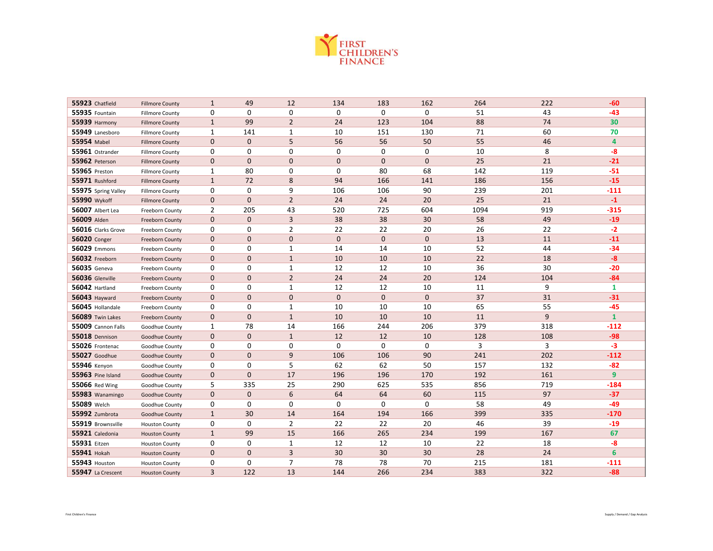

| 55923 Chatfield      | <b>Fillmore County</b> | $\mathbf{1}$   | 49           | 12             | 134            | 183          | 162          | 264  | 222 | $-60$        |
|----------------------|------------------------|----------------|--------------|----------------|----------------|--------------|--------------|------|-----|--------------|
| 55935 Fountain       | <b>Fillmore County</b> | 0              | $\mathbf 0$  | $\mathbf 0$    | 0              | 0            | $\mathbf 0$  | 51   | 43  | $-43$        |
| <b>55939 Harmony</b> | <b>Fillmore County</b> | $\mathbf{1}$   | 99           | $\overline{2}$ | 24             | 123          | 104          | 88   | 74  | 30           |
| 55949 Lanesboro      | <b>Fillmore County</b> | $\mathbf{1}$   | 141          | $\mathbf{1}$   | 10             | 151          | 130          | 71   | 60  | 70           |
| <b>55954 Mabel</b>   | <b>Fillmore County</b> | $\mathbf{0}$   | $\Omega$     | 5              | 56             | 56           | 50           | 55   | 46  | 4            |
| 55961 Ostrander      | <b>Fillmore County</b> | 0              | 0            | 0              | 0              | $\mathbf 0$  | 0            | 10   | 8   | $-8$         |
| 55962 Peterson       | <b>Fillmore County</b> | $\mathbf 0$    | $\mathbf{0}$ | $\mathbf 0$    | 0              | $\mathbf{0}$ | $\mathbf 0$  | 25   | 21  | $-21$        |
| <b>55965</b> Preston | <b>Fillmore County</b> | $\mathbf{1}$   | 80           | 0              | 0              | 80           | 68           | 142  | 119 | $-51$        |
| 55971 Rushford       | <b>Fillmore County</b> | $\mathbf{1}$   | 72           | 8              | 94             | 166          | 141          | 186  | 156 | $-15$        |
| 55975 Spring Valley  | <b>Fillmore County</b> | 0              | 0            | 9              | 106            | 106          | 90           | 239  | 201 | $-111$       |
| 55990 Wykoff         | <b>Fillmore County</b> | $\mathbf 0$    | $\mathbf{0}$ | $\overline{2}$ | 24             | 24           | 20           | 25   | 21  | $-1$         |
| 56007 Albert Lea     | Freeborn County        | $\overline{2}$ | 205          | 43             | 520            | 725          | 604          | 1094 | 919 | $-315$       |
| 56009 Alden          | Freeborn County        | $\mathbf 0$    | $\mathbf{0}$ | 3              | 38             | 38           | 30           | 58   | 49  | $-19$        |
| 56016 Clarks Grove   | Freeborn County        | 0              | $\mathbf 0$  | $\overline{2}$ | 22             | 22           | 20           | 26   | 22  | $-2$         |
| <b>56020</b> Conger  | Freeborn County        | $\mathbf 0$    | 0            | $\mathbf{0}$   | 0              | $\mathbf{0}$ | $\mathbf 0$  | 13   | 11  | $-11$        |
| 56029 Emmons         | Freeborn County        | 0              | 0            | $\mathbf{1}$   | 14             | 14           | 10           | 52   | 44  | $-34$        |
| 56032 Freeborn       | Freeborn County        | $\mathbf 0$    | $\mathbf{0}$ | $\mathbf{1}$   | 10             | 10           | 10           | 22   | 18  | $-8$         |
| <b>56035</b> Geneva  | Freeborn County        | 0              | 0            | 1              | 12             | 12           | 10           | 36   | 30  | $-20$        |
| 56036 Glenville      | Freeborn County        | $\mathbf 0$    | $\mathbf{0}$ | $\overline{2}$ | 24             | 24           | 20           | 124  | 104 | $-84$        |
| 56042 Hartland       | Freeborn County        | 0              | 0            | $\mathbf{1}$   | 12             | 12           | 10           | 11   | 9   | $\mathbf{1}$ |
| <b>56043 Hayward</b> | Freeborn County        | $\mathbf 0$    | $\Omega$     | $\mathbf{0}$   | $\overline{0}$ | $\mathbf{0}$ | $\mathbf{0}$ | 37   | 31  | $-31$        |
| 56045 Hollandale     | Freeborn County        | 0              | 0            | $\mathbf{1}$   | 10             | 10           | 10           | 65   | 55  | $-45$        |
| 56089 Twin Lakes     | <b>Freeborn County</b> | $\mathbf 0$    | $\mathbf{0}$ | $\mathbf{1}$   | 10             | 10           | 10           | 11   | 9   | $\mathbf{1}$ |
| 55009 Cannon Falls   | Goodhue County         | $\mathbf{1}$   | 78           | 14             | 166            | 244          | 206          | 379  | 318 | $-112$       |
| 55018 Dennison       | Goodhue County         | $\mathbf 0$    | $\mathbf{0}$ | $\mathbf{1}$   | 12             | 12           | 10           | 128  | 108 | $-98$        |
| 55026 Frontenac      | Goodhue County         | 0              | $\mathbf 0$  | 0              | 0              | $\mathbf 0$  | 0            | 3    | 3   | $-3$         |
| <b>55027</b> Goodhue | Goodhue County         | $\mathbf 0$    | $\Omega$     | 9              | 106            | 106          | 90           | 241  | 202 | $-112$       |
| 55946 Kenyon         | Goodhue County         | 0              | $\mathbf 0$  | 5              | 62             | 62           | 50           | 157  | 132 | $-82$        |
| 55963 Pine Island    | Goodhue County         | $\mathbf{0}$   | $\mathbf{0}$ | 17             | 196            | 196          | 170          | 192  | 161 | 9            |
| 55066 Red Wing       | Goodhue County         | 5              | 335          | 25             | 290            | 625          | 535          | 856  | 719 | $-184$       |
| 55983 Wanamingo      | Goodhue County         | $\mathbf 0$    | $\mathbf 0$  | 6              | 64             | 64           | 60           | 115  | 97  | $-37$        |
| 55089 Welch          | Goodhue County         | 0              | 0            | 0              | 0              | $\mathbf 0$  | $\mathbf 0$  | 58   | 49  | $-49$        |
| 55992 Zumbrota       | Goodhue County         | $\mathbf{1}$   | 30           | 14             | 164            | 194          | 166          | 399  | 335 | $-170$       |
| 55919 Brownsville    | <b>Houston County</b>  | 0              | $\mathbf 0$  | $\overline{2}$ | 22             | 22           | 20           | 46   | 39  | $-19$        |
| 55921 Caledonia      | <b>Houston County</b>  | $\mathbf{1}$   | 99           | 15             | 166            | 265          | 234          | 199  | 167 | 67           |
| 55931 Eitzen         | <b>Houston County</b>  | 0              | 0            | $\mathbf{1}$   | 12             | 12           | 10           | 22   | 18  | -8           |
| 55941 Hokah          | <b>Houston County</b>  | $\mathbf 0$    | 0            | 3              | 30             | 30           | 30           | 28   | 24  | 6            |
| 55943 Houston        | <b>Houston County</b>  | 0              | 0            | $\overline{7}$ | 78             | 78           | 70           | 215  | 181 | $-111$       |
| 55947 La Crescent    | <b>Houston County</b>  | 3              | 122          | 13             | 144            | 266          | 234          | 383  | 322 | $-88$        |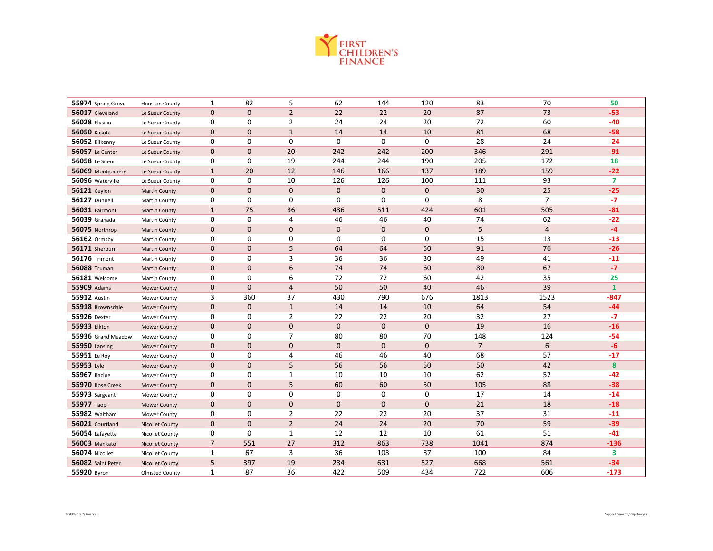

| 55974 Spring Grove     | <b>Houston County</b>  | 1              | 82             | 5              | 62           | 144          | 120          | 83             | 70             | 50             |
|------------------------|------------------------|----------------|----------------|----------------|--------------|--------------|--------------|----------------|----------------|----------------|
| 56017 Cleveland        | Le Sueur County        | $\mathbf 0$    | $\mathbf{0}$   | $\overline{2}$ | 22           | 22           | 20           | 87             | 73             | $-53$          |
| <b>56028 Elysian</b>   | Le Sueur County        | 0              | 0              | $\overline{2}$ | 24           | 24           | 20           | 72             | 60             | $-40$          |
| <b>56050 Kasota</b>    | Le Sueur County        | $\mathbf 0$    | $\mathbf{0}$   | $\mathbf{1}$   | 14           | 14           | 10           | 81             | 68             | $-58$          |
| 56052 Kilkenny         | Le Sueur County        | 0              | 0              | $\mathbf 0$    | 0            | $\mathbf{0}$ | $\mathbf 0$  | 28             | 24             | $-24$          |
| <b>56057</b> Le Center | Le Sueur County        | $\mathbf 0$    | $\mathbf{0}$   | 20             | 242          | 242          | 200          | 346            | 291            | $-91$          |
| <b>56058</b> Le Sueur  | Le Sueur County        | 0              | 0              | 19             | 244          | 244          | 190          | 205            | 172            | 18             |
| 56069 Montgomery       | Le Sueur County        | $\mathbf{1}$   | 20             | 12             | 146          | 166          | 137          | 189            | 159            | $-22$          |
| 56096 Waterville       | Le Sueur County        | 0              | 0              | 10             | 126          | 126          | 100          | 111            | 93             | $\overline{7}$ |
| <b>56121</b> Ceylon    | <b>Martin County</b>   | $\mathbf 0$    | $\mathbf{0}$   | $\mathbf{0}$   | $\mathbf{0}$ | $\mathbf{0}$ | $\mathbf 0$  | 30             | 25             | $-25$          |
| <b>56127 Dunnell</b>   | Martin County          | 0              | 0              | 0              | 0            | $\mathbf 0$  | 0            | 8              | $\overline{7}$ | $-7$           |
| 56031 Fairmont         | <b>Martin County</b>   | $\mathbf{1}$   | 75             | 36             | 436          | 511          | 424          | 601            | 505            | $-81$          |
| <b>56039</b> Granada   | Martin County          | 0              | 0              | 4              | 46           | 46           | 40           | 74             | 62             | $-22$          |
| 56075 Northrop         | <b>Martin County</b>   | $\mathbf{0}$   | $\mathbf{0}$   | $\overline{0}$ | $\mathbf{0}$ | $\mathbf{0}$ | $\mathbf 0$  | 5              | $\overline{4}$ | $-4$           |
| 56162 Ormsby           | Martin County          | 0              | 0              | $\mathbf 0$    | 0            | 0            | 0            | 15             | 13             | $-13$          |
| 56171 Sherburn         | <b>Martin County</b>   | 0              | $\mathbf{0}$   | 5              | 64           | 64           | 50           | 91             | 76             | $-26$          |
| <b>56176 Trimont</b>   | Martin County          | 0              | 0              | 3              | 36           | 36           | 30           | 49             | 41             | $-11$          |
| <b>56088 Truman</b>    | <b>Martin County</b>   | $\mathbf 0$    | $\mathbf{0}$   | 6              | 74           | 74           | 60           | 80             | 67             | $-7$           |
| <b>56181</b> Welcome   | Martin County          | 0              | 0              | 6              | 72           | 72           | 60           | 42             | 35             | 25             |
| 55909 Adams            | <b>Mower County</b>    | $\mathbf 0$    | $\overline{0}$ | $\overline{4}$ | 50           | 50           | 40           | 46             | 39             | $\mathbf{1}$   |
| <b>55912 Austin</b>    | Mower County           | 3              | 360            | 37             | 430          | 790          | 676          | 1813           | 1523           | $-847$         |
| 55918 Brownsdale       | <b>Mower County</b>    | 0              | $\mathbf{0}$   | $\mathbf{1}$   | 14           | 14           | 10           | 64             | 54             | $-44$          |
| 55926 Dexter           | Mower County           | 0              | 0              | $\overline{2}$ | 22           | 22           | 20           | 32             | 27             | $-7$           |
| 55933 Elkton           | Mower County           | $\mathbf 0$    | $\mathbf{0}$   | $\mathbf{0}$   | $\mathbf 0$  | $\mathbf{0}$ | $\mathbf 0$  | 19             | 16             | $-16$          |
| 55936 Grand Meadow     | Mower County           | 0              | 0              | $\overline{7}$ | 80           | 80           | 70           | 148            | 124            | $-54$          |
| <b>55950 Lansing</b>   | Mower County           | $\mathbf{0}$   | $\mathbf{0}$   | $\mathbf{0}$   | $\mathbf{0}$ | $\mathbf{0}$ | $\mathbf{0}$ | $\overline{7}$ | 6              | $-6$           |
| 55951 Le Roy           | Mower County           | 0              | 0              | 4              | 46           | 46           | 40           | 68             | 57             | -17            |
| 55953 Lyle             | <b>Mower County</b>    | $\mathbf 0$    | $\mathbf{0}$   | 5              | 56           | 56           | 50           | 50             | 42             | 8              |
| 55967 Racine           | Mower County           | 0              | 0              | $\mathbf{1}$   | 10           | 10           | 10           | 62             | 52             | $-42$          |
| 55970 Rose Creek       | <b>Mower County</b>    | $\mathbf 0$    | $\mathbf 0$    | 5              | 60           | 60           | 50           | 105            | 88             | $-38$          |
| 55973 Sargeant         | Mower County           | $\mathbf 0$    | 0              | 0              | 0            | $\mathbf 0$  | $\mathbf 0$  | 17             | 14             | $-14$          |
| 55977 Taopi            | <b>Mower County</b>    | $\mathbf 0$    | $\mathbf{0}$   | 0              | $\mathbf 0$  | $\mathbf{0}$ | $\mathbf 0$  | 21             | 18             | $-18$          |
| <b>55982</b> Waltham   | Mower County           | 0              | 0              | 2              | 22           | 22           | 20           | 37             | 31             | $-11$          |
| 56021 Courtland        | <b>Nicollet County</b> | $\mathbf 0$    | $\mathbf{0}$   | $\overline{2}$ | 24           | 24           | 20           | 70             | 59             | $-39$          |
| 56054 Lafayette        | Nicollet County        | 0              | 0              | $\mathbf{1}$   | 12           | 12           | 10           | 61             | 51             | $-41$          |
| <b>56003 Mankato</b>   | <b>Nicollet County</b> | $\overline{7}$ | 551            | 27             | 312          | 863          | 738          | 1041           | 874            | $-136$         |
| 56074 Nicollet         | Nicollet County        | $\mathbf{1}$   | 67             | 3              | 36           | 103          | 87           | 100            | 84             | 3              |
| 56082 Saint Peter      | <b>Nicollet County</b> | 5              | 397            | 19             | 234          | 631          | 527          | 668            | 561            | $-34$          |
| 55920 Byron            | <b>Olmsted County</b>  | 1              | 87             | 36             | 422          | 509          | 434          | 722            | 606            | $-173$         |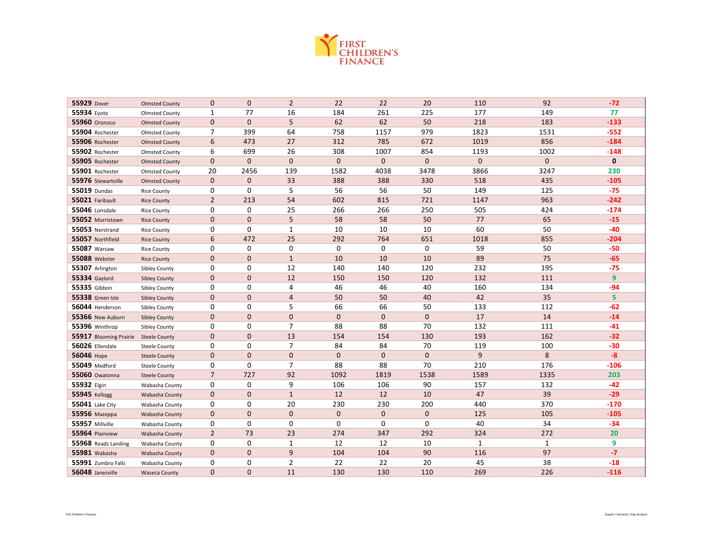

| 55929 Dover                          | <b>Olmsted County</b> | $\mathbf 0$     | $\mathbf 0$    | $\overline{2}$ | 22             | 22           | 20           | 110          | 92           | $-72$        |
|--------------------------------------|-----------------------|-----------------|----------------|----------------|----------------|--------------|--------------|--------------|--------------|--------------|
| 55934 Eyota                          | <b>Olmsted County</b> | 1               | 77             | 16             | 184            | 261          | 225          | 177          | 149          | 77           |
| <b>55960</b> Oronoco                 | <b>Olmsted County</b> | $\mathbf 0$     | $\mathbf{0}$   | 5              | 62             | 62           | 50           | 218          | 183          | $-133$       |
| 55904 Rochester                      | <b>Olmsted County</b> | 7               | 399            | 64             | 758            | 1157         | 979          | 1823         | 1531         | $-552$       |
| 55906 Rochester                      | <b>Olmsted County</b> | $6\phantom{1}6$ | 473            | 27             | 312            | 785          | 672          | 1019         | 856          | $-184$       |
| 55902 Rochester                      | <b>Olmsted County</b> | 6               | 699            | 26             | 308            | 1007         | 854          | 1193         | 1002         | $-148$       |
| 55905 Rochester                      | <b>Olmsted County</b> | $\mathbf 0$     | $\mathbf{0}$   | $\mathbf{0}$   | $\overline{0}$ | $\mathbf{0}$ | $\mathbf{0}$ | 0            | $\mathbf{0}$ | $\mathbf{0}$ |
| 55901 Rochester                      | <b>Olmsted County</b> | 20              | 2456           | 139            | 1582           | 4038         | 3478         | 3866         | 3247         | 230          |
| 55976 Stewartville                   | <b>Olmsted County</b> | $\mathbf 0$     | $\mathbf{0}$   | 33             | 388            | 388          | 330          | 518          | 435          | $-105$       |
| 55019 Dundas                         | <b>Rice County</b>    | 0               | 0              | 5              | 56             | 56           | 50           | 149          | 125          | $-75$        |
| 55021 Faribault                      | <b>Rice County</b>    | $\overline{2}$  | 213            | 54             | 602            | 815          | 721          | 1147         | 963          | $-242$       |
| 55046 Lonsdale                       | <b>Rice County</b>    | 0               | 0              | 25             | 266            | 266          | 250          | 505          | 424          | $-174$       |
| 55052 Morristown                     | <b>Rice County</b>    | $\mathbf 0$     | $\mathbf{0}$   | 5              | 58             | 58           | 50           | 77           | 65           | $-15$        |
| 55053 Nerstrand                      | <b>Rice County</b>    | 0               | $\mathbf 0$    | $\mathbf{1}$   | 10             | 10           | 10           | 60           | 50           | $-40$        |
| 55057 Northfield                     | <b>Rice County</b>    | $6\phantom{1}6$ | 472            | 25             | 292            | 764          | 651          | 1018         | 855          | $-204$       |
| <b>55087</b> Warsaw                  | <b>Rice County</b>    | 0               | 0              | 0              | 0              | 0            | 0            | 59           | 50           | -50          |
| <b>55088</b> Webster                 | <b>Rice County</b>    | $\mathbf 0$     | $\mathbf{0}$   | $\mathbf{1}$   | 10             | 10           | 10           | 89           | 75           | $-65$        |
| 55307 Arlington                      | <b>Sibley County</b>  | 0               | 0              | 12             | 140            | 140          | 120          | 232          | 195          | $-75$        |
| <b>55334 Gaylord</b>                 | <b>Sibley County</b>  | $\mathbf 0$     | $\mathbf{0}$   | 12             | 150            | 150          | 120          | 132          | 111          | 9            |
| 55335 Gibbon                         | <b>Sibley County</b>  | 0               | $\mathbf 0$    | 4              | 46             | 46           | 40           | 160          | 134          | $-94$        |
| <b>55338</b> Green Isle              | <b>Sibley County</b>  | $\mathbf 0$     | $\mathbf{0}$   | $\overline{4}$ | 50             | 50           | 40           | 42           | 35           | 5            |
| 56044 Henderson                      | <b>Sibley County</b>  | 0               | $\Omega$       | 5              | 66             | 66           | 50           | 133          | 112          | $-62$        |
| 55366 New Auburn                     | <b>Sibley County</b>  | $\mathbf 0$     | $\mathbf{0}$   | $\mathbf 0$    | 0              | $\mathbf{0}$ | $\mathbf{0}$ | 17           | 14           | $-14$        |
| 55396 Winthrop                       | Sibley County         | 0               | 0              | $\overline{7}$ | 88             | 88           | 70           | 132          | 111          | $-41$        |
| 55917 Blooming Prairie Steele County |                       | $\mathbf 0$     | $\mathbf{0}$   | 13             | 154            | 154          | 130          | 193          | 162          | $-32$        |
| 56026 Ellendale                      | <b>Steele County</b>  | 0               | $\mathbf 0$    | $\overline{7}$ | 84             | 84           | 70           | 119          | 100          | $-30$        |
| 56046 Норе                           | <b>Steele County</b>  | $\mathbf 0$     | $\mathbf{0}$   | $\mathbf{0}$   | 0              | $\mathbf{0}$ | $\mathbf{0}$ | 9            | 8            | $-8$         |
| <b>55049</b> Medford                 | <b>Steele County</b>  | 0               | 0              | $\overline{7}$ | 88             | 88           | 70           | 210          | 176          | $-106$       |
| 55060 Owatonna                       | <b>Steele County</b>  | $\overline{7}$  | 727            | 92             | 1092           | 1819         | 1538         | 1589         | 1335         | 203          |
| 55932 Elgin                          | Wabasha County        | 0               | 0              | 9              | 106            | 106          | 90           | 157          | 132          | $-42$        |
| <b>55945 Kellogg</b>                 | Wabasha County        | $\mathbf 0$     | $\mathbf 0$    | $\mathbf{1}$   | 12             | 12           | 10           | 47           | 39           | $-29$        |
| <b>55041</b> Lake City               | Wabasha County        | 0               | 0              | 20             | 230            | 230          | 200          | 440          | 370          | $-170$       |
| <b>55956</b> Mazeppa                 | Wabasha County        | $\mathbf 0$     | $\mathbf{0}$   | $\mathbf{0}$   | 0              | $\mathbf{0}$ | $\mathbf{0}$ | 125          | 105          | $-105$       |
| 55957 Millville                      | Wabasha County        | 0               | 0              | 0              | 0              | 0            | 0            | 40           | 34           | $-34$        |
| 55964 Plainview                      | Wabasha County        | $\overline{2}$  | 73             | 23             | 274            | 347          | 292          | 324          | 272          | 20           |
| 55968 Reads Landing                  | Wabasha County        | 0               | $\mathbf 0$    | $\mathbf{1}$   | 12             | 12           | 10           | $\mathbf{1}$ | $\mathbf{1}$ | 9            |
| 55981 Wabasha                        | Wabasha County        | $\mathbf{0}$    | $\mathbf{0}$   | 9              | 104            | 104          | 90           | 116          | 97           | $-7$         |
| 55991 Zumbro Falls                   | Wabasha County        | 0               | 0              | $\overline{2}$ | 22             | 22           | 20           | 45           | 38           | $-18$        |
| 56048 Janesville                     | <b>Waseca County</b>  | $\mathbf{0}$    | $\overline{0}$ | 11             | 130            | 130          | 110          | 269          | 226          | $-116$       |